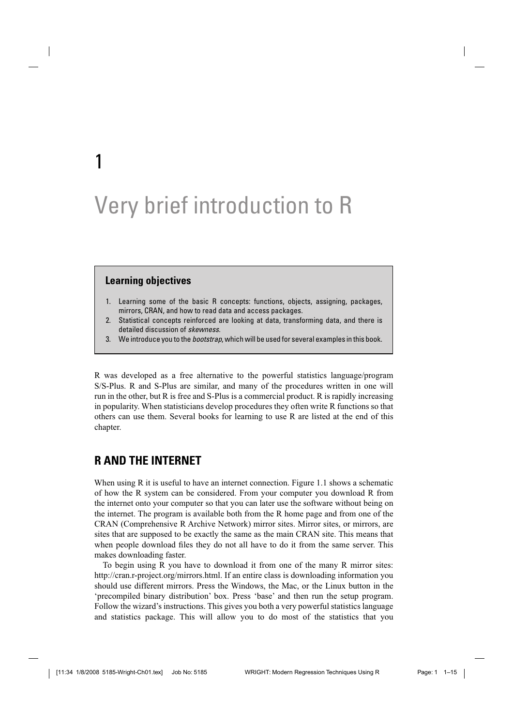## **Learning objectives**

1

- 1. Learning some of the basic R concepts: functions, objects, assigning, packages, mirrors, CRAN, and how to read data and access packages.
- 2. Statistical concepts reinforced are looking at data, transforming data, and there is detailed discussion of *skewness*.
- 3. We introduce you to the *bootstrap*, which will be used for several examples in this book.

R was developed as a free alternative to the powerful statistics language/program S/S-Plus. R and S-Plus are similar, and many of the procedures written in one will run in the other, but R is free and S-Plus is a commercial product. R is rapidly increasing in popularity. When statisticians develop procedures they often write R functions so that others can use them. Several books for learning to use R are listed at the end of this chapter.

# **R AND THE INTERNET**

When using R it is useful to have an internet connection. Figure 1.1 shows a schematic of how the R system can be considered. From your computer you download R from the internet onto your computer so that you can later use the software without being on the internet. The program is available both from the R home page and from one of the CRAN (Comprehensive R Archive Network) mirror sites. Mirror sites, or mirrors, are sites that are supposed to be exactly the same as the main CRAN site. This means that when people download files they do not all have to do it from the same server. This makes downloading faster.

To begin using R you have to download it from one of the many R mirror sites: http://cran.r-project.org/mirrors.html. If an entire class is downloading information you should use different mirrors. Press the Windows, the Mac, or the Linux button in the 'precompiled binary distribution' box. Press 'base' and then run the setup program. Follow the wizard's instructions. This gives you both a very powerful statistics language and statistics package. This will allow you to do most of the statistics that you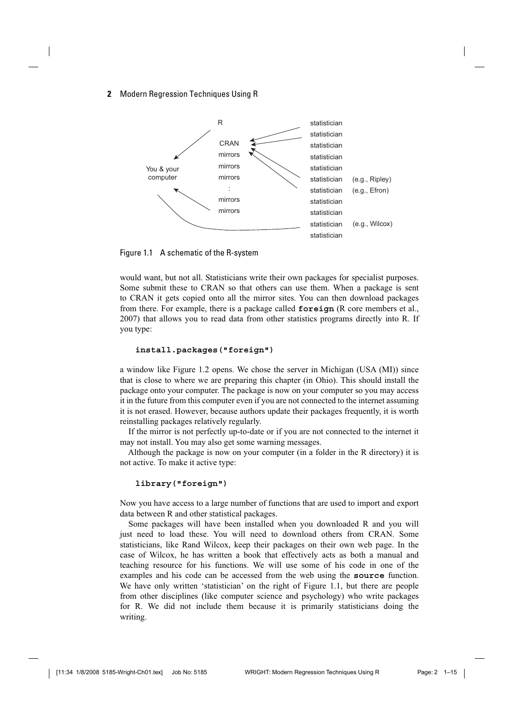

Figure 1.1 A schematic of the R-system

would want, but not all. Statisticians write their own packages for specialist purposes. Some submit these to CRAN so that others can use them. When a package is sent to CRAN it gets copied onto all the mirror sites. You can then download packages from there. For example, there is a package called **foreign** (R core members et al., 2007) that allows you to read data from other statistics programs directly into R. If you type:

#### **install.packages("foreign")**

a window like Figure 1.2 opens. We chose the server in Michigan (USA (MI)) since that is close to where we are preparing this chapter (in Ohio). This should install the package onto your computer. The package is now on your computer so you may access it in the future from this computer even if you are not connected to the internet assuming it is not erased. However, because authors update their packages frequently, it is worth reinstalling packages relatively regularly.

If the mirror is not perfectly up-to-date or if you are not connected to the internet it may not install. You may also get some warning messages.

Although the package is now on your computer (in a folder in the R directory) it is not active. To make it active type:

#### **library("foreign")**

Now you have access to a large number of functions that are used to import and export data between R and other statistical packages.

Some packages will have been installed when you downloaded R and you will just need to load these. You will need to download others from CRAN. Some statisticians, like Rand Wilcox, keep their packages on their own web page. In the case of Wilcox, he has written a book that effectively acts as both a manual and teaching resource for his functions. We will use some of his code in one of the examples and his code can be accessed from the web using the **source** function. We have only written 'statistician' on the right of Figure 1.1, but there are people from other disciplines (like computer science and psychology) who write packages for R. We did not include them because it is primarily statisticians doing the writing.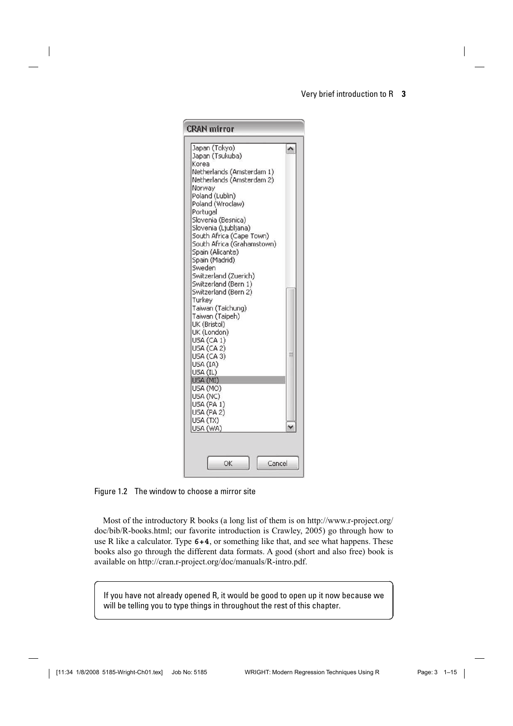

Figure 1.2 The window to choose a mirror site

Most of the introductory R books (a long list of them is on http://www.r-project.org/ doc/bib/R-books.html; our favorite introduction is Crawley, 2005) go through how to use R like a calculator. Type **6+4**, or something like that, and see what happens. These books also go through the different data formats. A good (short and also free) book is available on http://cran.r-project.org/doc/manuals/R-intro.pdf.

If you have not already opened R, it would be good to open up it now because we will be telling you to type things in throughout the rest of this chapter.

 $\overline{a}$ 

✝

☎

✆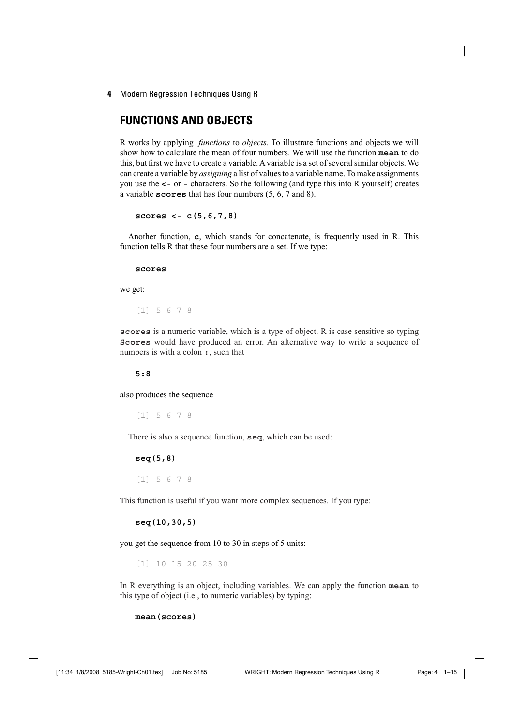# **FUNCTIONS AND OBJECTS**

R works by applying *functions* to *objects*. To illustrate functions and objects we will show how to calculate the mean of four numbers. We will use the function **mean** to do this, but first we have to create a variable. A variable is a set of several similar objects. We can create a variable by *assigning* a list of values to a variable name. To make assignments you use the **<-** or **-** characters. So the following (and type this into R yourself) creates a variable **scores** that has four numbers (5, 6, 7 and 8).

**scores <- c(5,6,7,8)**

Another function, **c**, which stands for concatenate, is frequently used in R. This function tells R that these four numbers are a set. If we type:

#### **scores**

we get:

[1] 5 6 7 8

**scores** is a numeric variable, which is a type of object. R is case sensitive so typing **Scores** would have produced an error. An alternative way to write a sequence of numbers is with a colon **:**, such that

**5:8**

also produces the sequence

[1] 5 6 7 8

There is also a sequence function, **seq**, which can be used:

**seq(5,8)**

[1] 5 6 7 8

This function is useful if you want more complex sequences. If you type:

**seq(10,30,5)**

you get the sequence from 10 to 30 in steps of 5 units:

[1] 10 15 20 25 30

In R everything is an object, including variables. We can apply the function **mean** to this type of object (i.e., to numeric variables) by typing:

**mean(scores)**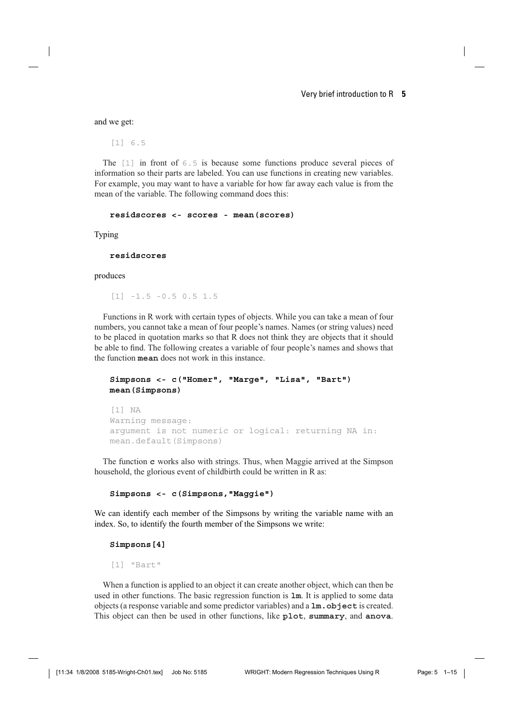and we get:

[1] 6.5

The [1] in front of 6.5 is because some functions produce several pieces of information so their parts are labeled. You can use functions in creating new variables. For example, you may want to have a variable for how far away each value is from the mean of the variable. The following command does this:

**residscores <- scores - mean(scores)**

Typing

#### **residscores**

produces

[1] -1.5 -0.5 0.5 1.5

Functions in R work with certain types of objects. While you can take a mean of four numbers, you cannot take a mean of four people's names. Names (or string values) need to be placed in quotation marks so that R does not think they are objects that it should be able to find. The following creates a variable of four people's names and shows that the function **mean** does not work in this instance.

```
Simpsons <- c("Homer", "Marge", "Lisa", "Bart")
mean(Simpsons)
[1] NA
Warning message:
argument is not numeric or logical: returning NA in:
mean.default(Simpsons)
```
The function **c** works also with strings. Thus, when Maggie arrived at the Simpson household, the glorious event of childbirth could be written in R as:

#### **Simpsons <- c(Simpsons,"Maggie")**

We can identify each member of the Simpsons by writing the variable name with an index. So, to identify the fourth member of the Simpsons we write:

#### **Simpsons[4]**

[1] "Bart"

When a function is applied to an object it can create another object, which can then be used in other functions. The basic regression function is **lm**. It is applied to some data objects (a response variable and some predictor variables) and a **lm.object** is created. This object can then be used in other functions, like **plot**, **summary**, and **anova**.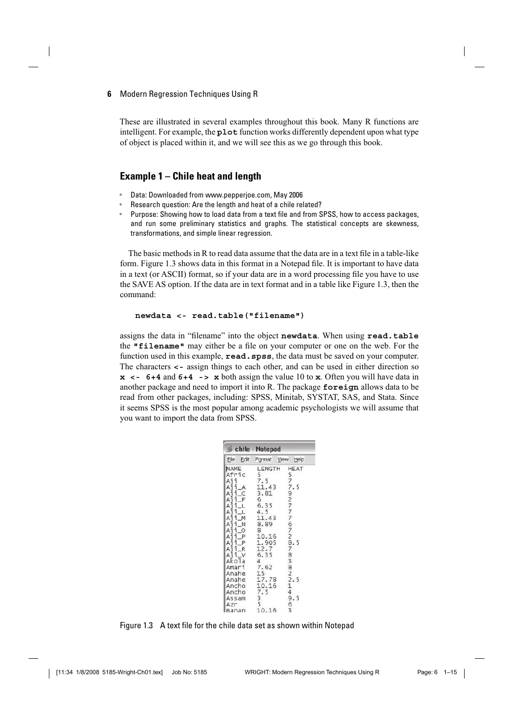These are illustrated in several examples throughout this book. Many R functions are intelligent. For example, the **plot** function works differently dependent upon what type of object is placed within it, and we will see this as we go through this book.

# **Example 1 – Chile heat and length**

- Data: Downloaded from www.pepperjoe.com, May 2006
- Research question: Are the length and heat of a chile related?
- Purpose: Showing how to load data from a text file and from SPSS, how to access packages, and run some preliminary statistics and graphs. The statistical concepts are skewness, transformations, and simple linear regression.

The basic methods in R to read data assume that the data are in a text file in a table-like form. Figure 1.3 shows data in this format in a Notepad file. It is important to have data in a text (or ASCII) format, so if your data are in a word processing file you have to use the SAVE AS option. If the data are in text format and in a table like Figure 1.3, then the command:

## **newdata <- read.table("filename")**

assigns the data in "filename" into the object **newdata**. When using **read.table** the **"filename"** may either be a file on your computer or one on the web. For the function used in this example, **read.spss**, the data must be saved on your computer. The characters **<-** assign things to each other, and can be used in either direction so **x <- 6+4** and **6+4 -> x** both assign the value 10 to **x**. Often you will have data in another package and need to import it into R. The package **foreign** allows data to be read from other packages, including: SPSS, Minitab, SYSTAT, SAS, and Stata. Since it seems SPSS is the most popular among academic psychologists we will assume that you want to import the data from SPSS.

| chile - Notepad                         |                                   |                                       |
|-----------------------------------------|-----------------------------------|---------------------------------------|
| File<br>Edit                            | Format View                       | Help                                  |
| NAME                                    | LENGTH                            | HEAT                                  |
| Afric                                   | $\frac{5}{7}$ , 5                 | 577.927776728783822.5                 |
| Aji<br>Aji                              |                                   |                                       |
| $\mathbb{A}^{\frac{1}{2}}$<br>А         | 11.43                             |                                       |
| Αj<br>i<br>$\subset$                    | 3.81                              |                                       |
| ΑÌ<br>j<br>ΑŤ                           | 6<br>6.35                         |                                       |
| Aji<br>$\mathbf{L}$                     | 4.5                               |                                       |
| M                                       | 11.43                             |                                       |
| Aji<br>Aji<br>N                         | 8.89                              |                                       |
| $A_1^2$<br>$\circ$                      | 8                                 |                                       |
| $\mathsf{P}$                            | 10.16                             |                                       |
| $A_1^{\dagger}$ i<br>P                  | 1.905                             |                                       |
| AÌi<br>R                                | 12.7                              |                                       |
| Aii<br>$\vee$                           | 6.35<br>4<br>7.62                 |                                       |
| Akola                                   |                                   |                                       |
| Amari                                   |                                   |                                       |
| Anahe                                   | 15                                |                                       |
| Anahe                                   | 17.78                             |                                       |
|                                         |                                   |                                       |
|                                         |                                   |                                       |
|                                         |                                   |                                       |
|                                         |                                   |                                       |
| Ancho<br>Ancho<br>Assam<br>Azr<br>Banan | 10.16<br>$\frac{7.5}{3}$<br>10.16 | $\frac{1}{4}$<br>9.5<br>$\frac{6}{3}$ |

Figure 1.3 A text file for the chile data set as shown within Notepad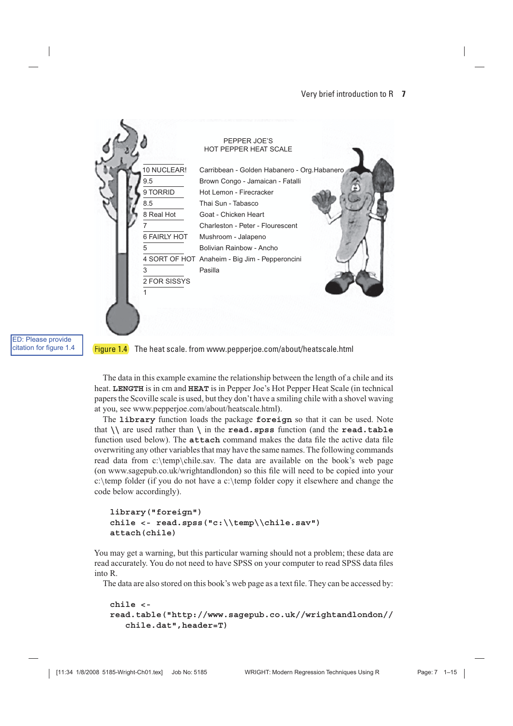



Figure 1.4 The heat scale. from www.pepperjoe.com/about/heatscale.html

The data in this example examine the relationship between the length of a chile and its heat. **LENGTH** is in cm and **HEAT** is in Pepper Joe's Hot Pepper Heat Scale (in technical papers the Scoville scale is used, but they don't have a smiling chile with a shovel waving at you, see www.pepperjoe.com/about/heatscale.html).

The **library** function loads the package **foreign** so that it can be used. Note that \\ are used rather than \ in the **read.spss** function (and the **read.table** function used below). The **attach** command makes the data file the active data file overwriting any other variables that may have the same names. The following commands read data from c:\temp\chile.sav. The data are available on the book's web page (on www.sagepub.co.uk/wrightandlondon) so this file will need to be copied into your c:\temp folder (if you do not have a c:\temp folder copy it elsewhere and change the code below accordingly).

```
library("foreign")
chile <- read.spss("c:\\temp\\chile.sav")
attach(chile)
```
You may get a warning, but this particular warning should not a problem; these data are read accurately. You do not need to have SPSS on your computer to read SPSS data files into R.

The data are also stored on this book's web page as a text file. They can be accessed by:

```
chile <-
read.table("http://www.sagepub.co.uk//wrightandlondon//
   chile.dat",header=T)
```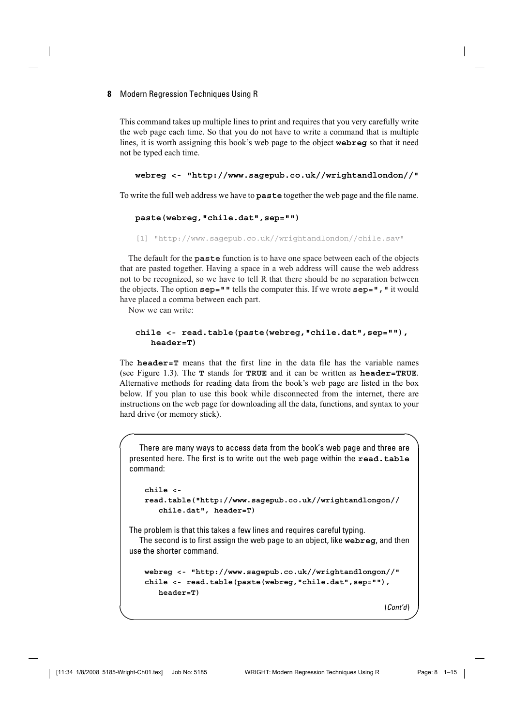This command takes up multiple lines to print and requires that you very carefully write the web page each time. So that you do not have to write a command that is multiple lines, it is worth assigning this book's web page to the object **webreg** so that it need not be typed each time.

```
webreg <- "http://www.sagepub.co.uk//wrightandlondon//"
```
To write the full web address we have to **paste** together the web page and the file name.

```
paste(webreg,"chile.dat",sep="")
```
[1] "http://www.sagepub.co.uk//wrightandlondon//chile.sav"

The default for the **paste** function is to have one space between each of the objects that are pasted together. Having a space in a web address will cause the web address not to be recognized, so we have to tell R that there should be no separation between the objects. The option **sep=""** tells the computer this. If we wrote **sep=","** it would have placed a comma between each part.

Now we can write:

#### **chile <- read.table(paste(webreg,"chile.dat",sep=""), header=T)**

The **header=T** means that the first line in the data file has the variable names (see Figure 1.3). The **T** stands for **TRUE** and it can be written as **header=TRUE**. Alternative methods for reading data from the book's web page are listed in the box below. If you plan to use this book while disconnected from the internet, there are instructions on the web page for downloading all the data, functions, and syntax to your hard drive (or memory stick).

There are many ways to access data from the book's web page and three are presented here. The first is to write out the web page within the **read.table** command:

```
chile <-
read.table("http://www.sagepub.co.uk//wrightandlongon//
   chile.dat", header=T)
```
The problem is that this takes a few lines and requires careful typing.

The second is to first assign the web page to an object, like **webreg**, and then use the shorter command.

```
webreg <- "http://www.sagepub.co.uk//wrightandlongon//"
chile <- read.table(paste(webreg,"chile.dat",sep=""),
  header=T)
```
(Cont'd)

 $\overline{\phantom{0}}$ 

 $\overline{\phantom{0}}$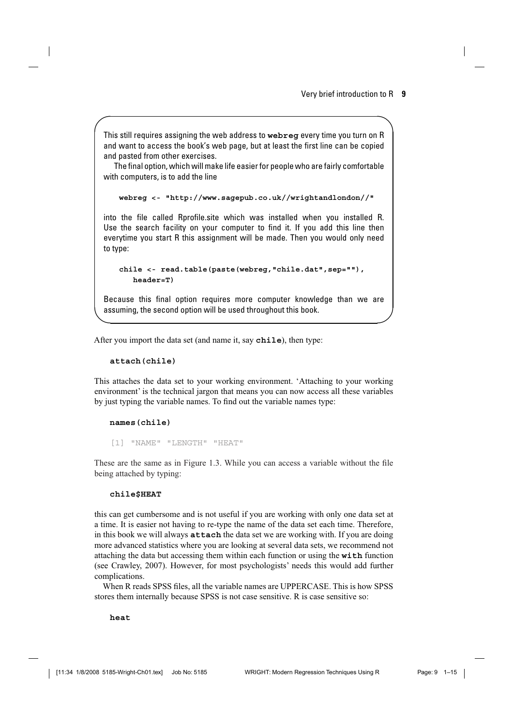This still requires assigning the web address to **webreg** every time you turn on R and want to access the book's web page, but at least the first line can be copied and pasted from other exercises.

The final option, which will make life easier for people who are fairly comfortable with computers, is to add the line

```
webreg <- "http://www.sagepub.co.uk//wrightandlondon//"
```
into the file called Rprofile.site which was installed when you installed R. Use the search facility on your computer to find it. If you add this line then everytime you start R this assignment will be made. Then you would only need to type:

```
chile <- read.table(paste(webreg,"chile.dat",sep=""),
  header=T)
```
Because this final option requires more computer knowledge than we are assuming, the second option will be used throughout this book.

After you import the data set (and name it, say **chile**), then type:

```
attach(chile)
```
✧

 $\overline{\phantom{0}}$ 

This attaches the data set to your working environment. 'Attaching to your working environment' is the technical jargon that means you can now access all these variables by just typing the variable names. To find out the variable names type:

#### **names(chile)**

[1] "NAME" "LENGTH" "HEAT"

These are the same as in Figure 1.3. While you can access a variable without the file being attached by typing:

#### **chile\$HEAT**

this can get cumbersome and is not useful if you are working with only one data set at a time. It is easier not having to re-type the name of the data set each time. Therefore, in this book we will always **attach** the data set we are working with. If you are doing more advanced statistics where you are looking at several data sets, we recommend not attaching the data but accessing them within each function or using the **with** function (see Crawley, 2007). However, for most psychologists' needs this would add further complications.

When R reads SPSS files, all the variable names are UPPERCASE. This is how SPSS stores them internally because SPSS is not case sensitive. R is case sensitive so:

#### **heat**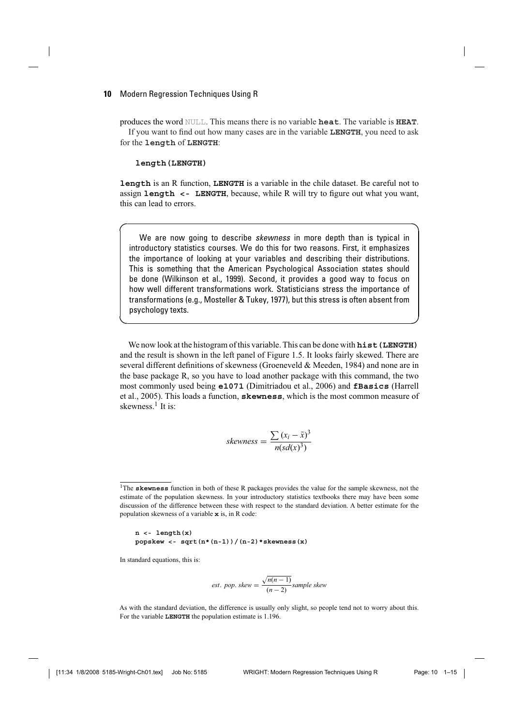produces the word NULL. This means there is no variable **heat**. The variable is **HEAT**. If you want to find out how many cases are in the variable **LENGTH**, you need to ask for the **length** of **LENGTH**:

#### **length(LENGTH)**

 $\overline{$ 

✍

**length** is an R function, **LENGTH** is a variable in the chile dataset. Be careful not to assign **length <- LENGTH**, because, while R will try to figure out what you want, this can lead to errors.

We are now going to describe *skewness* in more depth than is typical in introductory statistics courses. We do this for two reasons. First, it emphasizes the importance of looking at your variables and describing their distributions. This is something that the American Psychological Association states should be done (Wilkinson et al., 1999). Second, it provides a good way to focus on how well different transformations work. Statisticians stress the importance of transformations (e.g., Mosteller & Tukey, 1977), but this stress is often absent from psychology texts.

We now look at the histogram of this variable. This can be done with **hist** (LENGTH) and the result is shown in the left panel of Figure 1.5. It looks fairly skewed. There are several different definitions of skewness (Groeneveld & Meeden, 1984) and none are in the base package R, so you have to load another package with this command, the two most commonly used being **e1071** (Dimitriadou et al., 2006) and **fBasics** (Harrell et al., 2005). This loads a function, **skewness**, which is the most common measure of skewness.<sup>1</sup> It is:

$$
skewness = \frac{\sum (x_i - \bar{x})^3}{n(sd(x)^3)}
$$

**n <- length(x) popskew <- sqrt(n\*(n-1))/(n-2)\*skewness(x)**

In standard equations, this is:

est. pop. skew = 
$$
\frac{\sqrt{n(n-1)}}{(n-2)} sample skew
$$

As with the standard deviation, the difference is usually only slight, so people tend not to worry about this. For the variable **LENGTH** the population estimate is 1.196.

<sup>&</sup>lt;sup>1</sup>The **skewness** function in both of these R packages provides the value for the sample skewness, not the estimate of the population skewness. In your introductory statistics textbooks there may have been some discussion of the difference between these with respect to the standard deviation. A better estimate for the population skewness of a variable **x** is, in R code: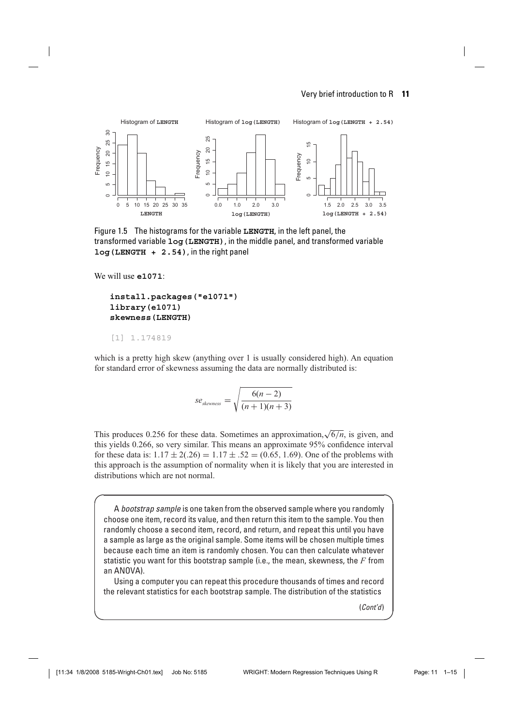

Figure 1.5 The histograms for the variable **LENGTH**, in the left panel, the transformed variable **log(LENGTH)**, in the middle panel, and transformed variable **log(LENGTH + 2.54)**, in the right panel

We will use **e1071**:

```
install.packages("e1071")
library(e1071)
skewness(LENGTH)
```
[1] 1.174819

which is a pretty high skew (anything over 1 is usually considered high). An equation for standard error of skewness assuming the data are normally distributed is:

$$
se_{\textit{skewness}} = \sqrt{\frac{6(n-2)}{(n+1)(n+3)}}
$$

This produces 0.256 for these data. Sometimes an approximation,  $\sqrt{6/n}$ , is given, and this yields 0.266, so very similar. This means an approximate 95% confidence interval for these data is:  $1.17 \pm 2(.26) = 1.17 \pm .52 = (0.65, 1.69)$ . One of the problems with this approach is the assumption of normality when it is likely that you are interested in distributions which are not normal.

A bootstrap sample is one taken from the observed sample where you randomly choose one item, record its value, and then return this item to the sample. You then randomly choose a second item, record, and return, and repeat this until you have a sample as large as the original sample. Some items will be chosen multiple times because each time an item is randomly chosen. You can then calculate whatever statistic you want for this bootstrap sample (i.e., the mean, skewness, the *F* from an ANOVA).

Using a computer you can repeat this procedure thousands of times and record the relevant statistics for each bootstrap sample. The distribution of the statistics

(Cont'd)

 $\overline{a}$ 

 $\searrow$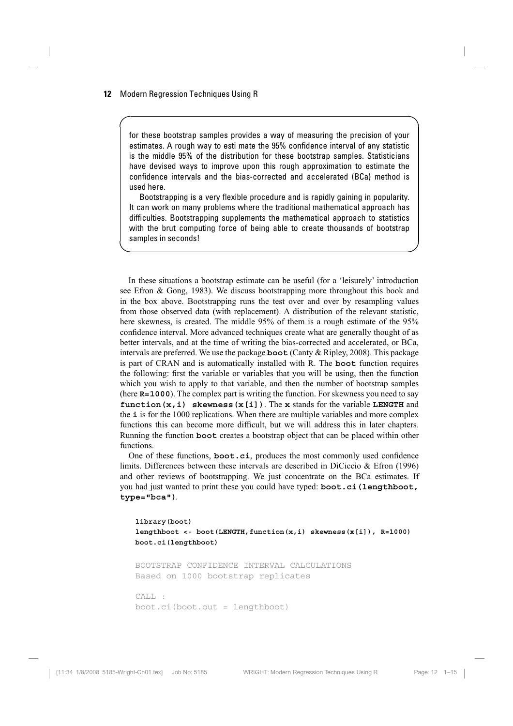$\overline{\phantom{0}}$ 

 $\overline{\phantom{a}}$ 

for these bootstrap samples provides a way of measuring the precision of your estimates. A rough way to esti mate the 95% confidence interval of any statistic is the middle 95% of the distribution for these bootstrap samples. Statisticians have devised ways to improve upon this rough approximation to estimate the confidence intervals and the bias-corrected and accelerated (BCa) method is used here.

Bootstrapping is a very flexible procedure and is rapidly gaining in popularity. It can work on many problems where the traditional mathematical approach has difficulties. Bootstrapping supplements the mathematical approach to statistics with the brut computing force of being able to create thousands of bootstrap samples in seconds!

In these situations a bootstrap estimate can be useful (for a 'leisurely' introduction see Efron & Gong, 1983). We discuss bootstrapping more throughout this book and in the box above. Bootstrapping runs the test over and over by resampling values from those observed data (with replacement). A distribution of the relevant statistic, here skewness, is created. The middle 95% of them is a rough estimate of the 95% confidence interval. More advanced techniques create what are generally thought of as better intervals, and at the time of writing the bias-corrected and accelerated, or BCa, intervals are preferred. We use the package **boot** (Canty & Ripley, 2008). This package is part of CRAN and is automatically installed with R. The **boot** function requires the following: first the variable or variables that you will be using, then the function which you wish to apply to that variable, and then the number of bootstrap samples (here **R=1000**). The complex part is writing the function. For skewness you need to say **function(x,i) skewness(x[i])**. The **x** stands for the variable **LENGTH** and the **i** is for the 1000 replications. When there are multiple variables and more complex functions this can become more difficult, but we will address this in later chapters. Running the function **boot** creates a bootstrap object that can be placed within other functions.

One of these functions, **boot.ci**, produces the most commonly used confidence limits. Differences between these intervals are described in DiCiccio & Efron (1996) and other reviews of bootstrapping. We just concentrate on the BCa estimates. If you had just wanted to print these you could have typed: **boot.ci(lengthboot, type="bca")**.

#### **library(boot) lengthboot <- boot(LENGTH,function(x,i) skewness(x[i]), R=1000) boot.ci(lengthboot)**

BOOTSTRAP CONFIDENCE INTERVAL CALCULATIONS Based on 1000 bootstrap replicates

CALL : boot.ci(boot.out = lengthboot)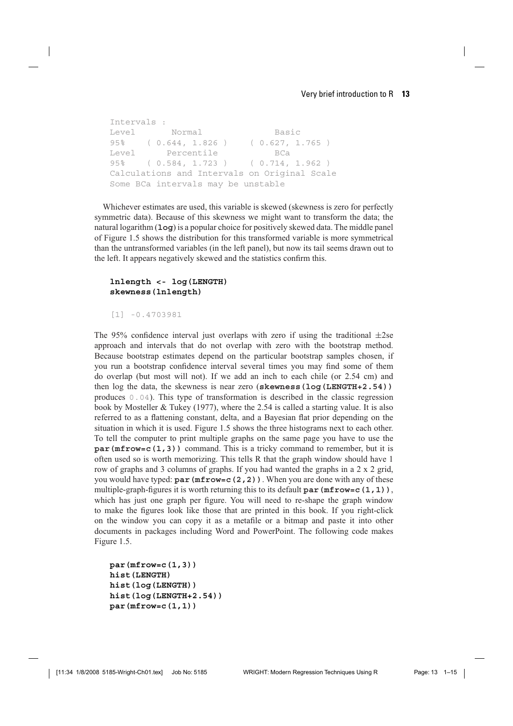```
Intervals :
Level Normal Basic
95% ( 0.644, 1.826 ) ( 0.627, 1.765 )
Level Percentile BCa
95% ( 0.584, 1.723 ) ( 0.714, 1.962 )
Calculations and Intervals on Original Scale
Some BCa intervals may be unstable
```
Whichever estimates are used, this variable is skewed (skewness is zero for perfectly symmetric data). Because of this skewness we might want to transform the data; the natural logarithm (**log**) is a popular choice for positively skewed data. The middle panel of Figure 1.5 shows the distribution for this transformed variable is more symmetrical than the untransformed variables (in the left panel), but now its tail seems drawn out to the left. It appears negatively skewed and the statistics confirm this.

#### **lnlength <- log(LENGTH) skewness(lnlength)**

#### [1] -0.4703981

The 95% confidence interval just overlaps with zero if using the traditional  $\pm 2$ se approach and intervals that do not overlap with zero with the bootstrap method. Because bootstrap estimates depend on the particular bootstrap samples chosen, if you run a bootstrap confidence interval several times you may find some of them do overlap (but most will not). If we add an inch to each chile (or 2.54 cm) and then log the data, the skewness is near zero (**skewness(log(LENGTH+2.54))** produces 0.04). This type of transformation is described in the classic regression book by Mosteller & Tukey (1977), where the 2.54 is called a starting value. It is also referred to as a flattening constant, delta, and a Bayesian flat prior depending on the situation in which it is used. Figure 1.5 shows the three histograms next to each other. To tell the computer to print multiple graphs on the same page you have to use the **par (mfrow=c(1,3))** command. This is a tricky command to remember, but it is often used so is worth memorizing. This tells R that the graph window should have 1 row of graphs and 3 columns of graphs. If you had wanted the graphs in a 2 x 2 grid, you would have typed: **par(mfrow=c(2,2))**. When you are done with any of these multiple-graph-figures it is worth returning this to its default  $\texttt{par}(\texttt{mfrom=c(1,1)}),$ which has just one graph per figure. You will need to re-shape the graph window to make the figures look like those that are printed in this book. If you right-click on the window you can copy it as a metafile or a bitmap and paste it into other documents in packages including Word and PowerPoint. The following code makes Figure 1.5.

```
par(mfrow=c(1,3))
hist(LENGTH)
hist(log(LENGTH))
hist(log(LENGTH+2.54))
par(mfrow=c(1,1))
```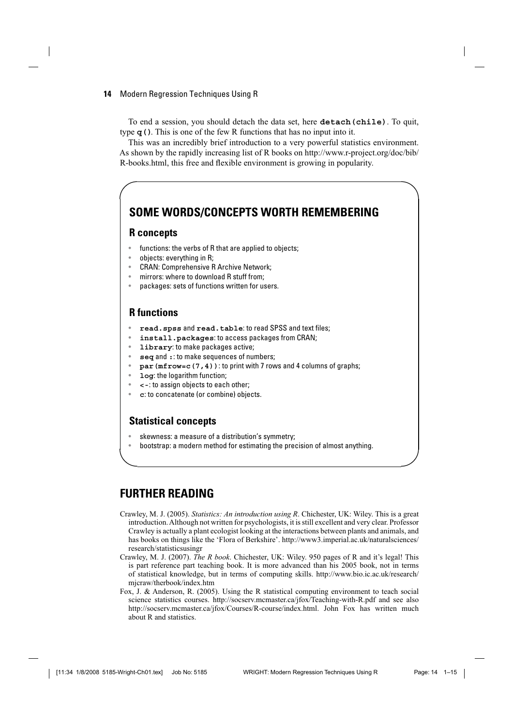To end a session, you should detach the data set, here **detach(chile)**. To quit, type **q()**. This is one of the few R functions that has no input into it.

This was an incredibly brief introduction to a very powerful statistics environment. As shown by the rapidly increasing list of R books on http://www.r-project.org/doc/bib/ R-books.html, this free and flexible environment is growing in popularity.

# **SOME WORDS/CONCEPTS WORTH REMEMBERING**

## **R concepts**

 $\overline{\phantom{0}}$ 

- functions: the verbs of R that are applied to objects;
- objects: everything in R;
- CRAN: Comprehensive R Archive Network;
- mirrors: where to download R stuff from;
- packages: sets of functions written for users.

# **R functions**

- **read.spss** and **read.table**: to read SPSS and text files;
- **install.packages**: to access packages from CRAN;
- **library**: to make packages active;
- **seq** and **:**: to make sequences of numbers;
- par ( $m$ frow=c(7,4)): to print with 7 rows and 4 columns of graphs;
- **log**: the logarithm function;
- **<-**: to assign objects to each other;
- **c**: to concatenate (or combine) objects.

## **Statistical concepts**

- skewness: a measure of a distribution's symmetry;
- bootstrap: a modern method for estimating the precision of almost anything.

# **FURTHER READING**

 $\overline{\phantom{0}}$ 

- Crawley, M. J. (2005). *Statistics: An introduction using R*. Chichester, UK: Wiley. This is a great introduction.Although not written for psychologists, it is still excellent and very clear. Professor Crawley is actually a plant ecologist looking at the interactions between plants and animals, and has books on things like the 'Flora of Berkshire'. http://www3.imperial.ac.uk/naturalsciences/ research/statisticsusingr
- Crawley, M. J. (2007). *The R book*. Chichester, UK: Wiley. 950 pages of R and it's legal! This is part reference part teaching book. It is more advanced than his 2005 book, not in terms of statistical knowledge, but in terms of computing skills. http://www.bio.ic.ac.uk/research/ mjcraw/therbook/index.htm
- Fox, J. & Anderson, R. (2005). Using the R statistical computing environment to teach social science statistics courses. http://socserv.mcmaster.ca/jfox/Teaching-with-R.pdf and see also http://socserv.mcmaster.ca/jfox/Courses/R-course/index.html. John Fox has written much about R and statistics.